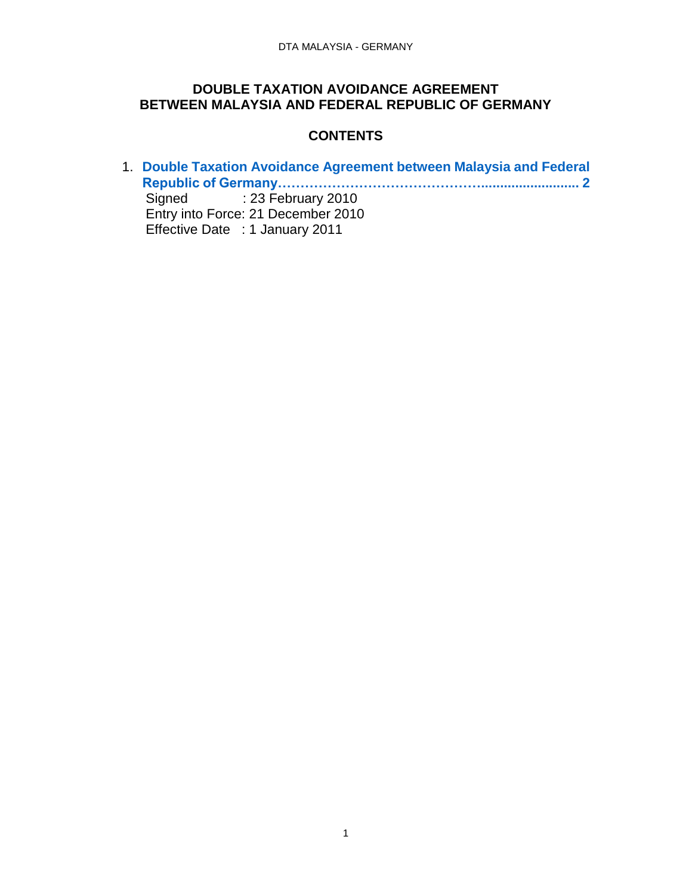## **DOUBLE TAXATION AVOIDANCE AGREEMENT BETWEEN MALAYSIA AND FEDERAL REPUBLIC OF GERMANY**

## **CONTENTS**

1. **[Double Taxation Avoidance Agreement between Malaysia and](#page-1-0) Federal [Republic of Germany………………………………………..........................](#page-1-0) 2** Signed : 23 February 2010 Entry into Force: 21 December 2010 Effective Date : 1 January 2011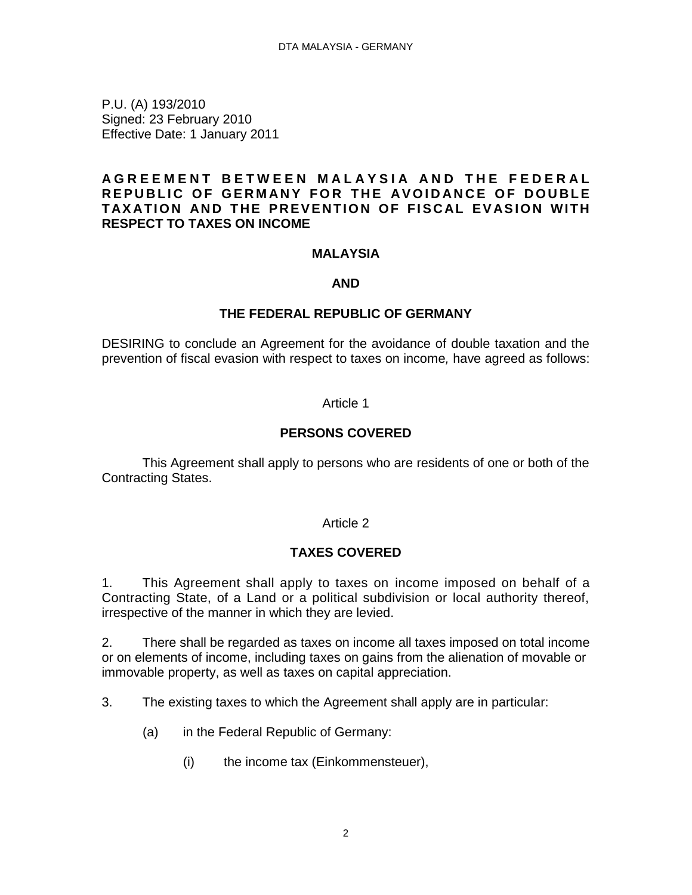<span id="page-1-0"></span>P.U. (A) 193/2010 Signed: 23 February 2010 Effective Date: 1 January 2011

#### **AGREEMENT BETWEEN MALAYSIA AND THE FEDERAL R E P U B L I C O F G E R M A N Y F O R T H E A V O I D A N C E O F D O U B L E TAXATION AND THE PREVENTION OF FISCAL EVASION WITH RESPECT TO TAXES ON INCOME**

#### **MALAYSIA**

#### **AND**

#### **THE FEDERAL REPUBLIC OF GERMANY**

DESIRING to conclude an Agreement for the avoidance of double taxation and the prevention of fiscal evasion with respect to taxes on income*,* have agreed as follows:

#### Article 1

### **PERSONS COVERED**

This Agreement shall apply to persons who are residents of one or both of the Contracting States.

#### Article 2

#### **TAXES COVERED**

1. This Agreement shall apply to taxes on income imposed on behalf of a Contracting State, of a Land or a political subdivision or local authority thereof, irrespective of the manner in which they are levied.

2. There shall be regarded as taxes on income all taxes imposed on total income or on elements of income, including taxes on gains from the alienation of movable or immovable property, as well as taxes on capital appreciation.

3. The existing taxes to which the Agreement shall apply are in particular:

- (a) in the Federal Republic of Germany:
	- (i) the income tax (Einkommensteuer),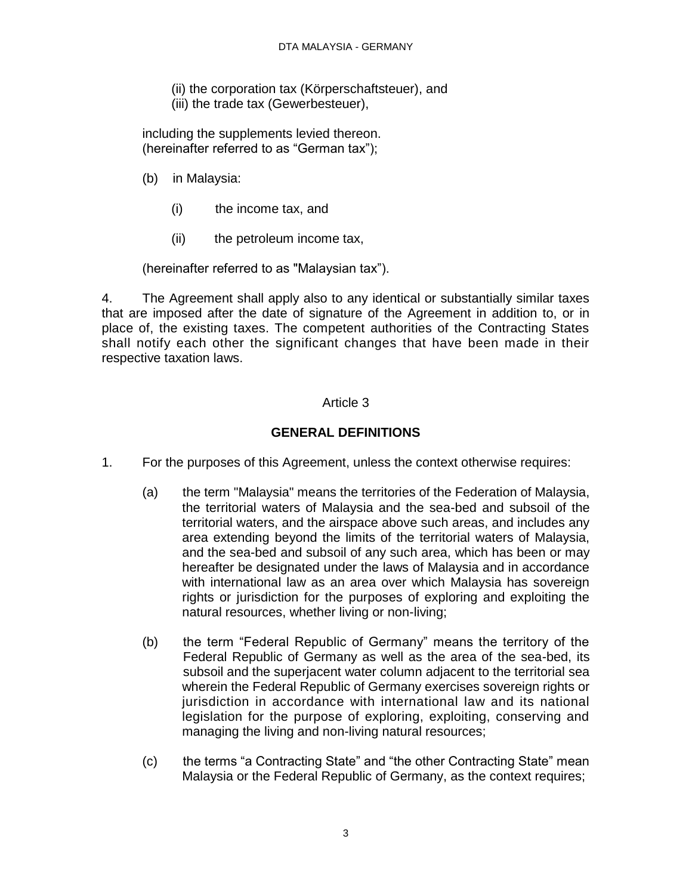- (ii) the corporation tax (Körperschaftsteuer), and
- (iii) the trade tax (Gewerbesteuer),

including the supplements levied thereon. (hereinafter referred to as "German tax");

- (b) in Malaysia:
	- (i) the income tax, and
	- (ii) the petroleum income tax,

(hereinafter referred to as "Malaysian tax").

4. The Agreement shall apply also to any identical or substantially similar taxes that are imposed after the date of signature of the Agreement in addition to, or in place of, the existing taxes. The competent authorities of the Contracting States shall notify each other the significant changes that have been made in their respective taxation laws.

### Article 3

### **GENERAL DEFINITIONS**

- 1. For the purposes of this Agreement, unless the context otherwise requires:
	- (a) the term "Malaysia" means the territories of the Federation of Malaysia, the territorial waters of Malaysia and the sea-bed and subsoil of the territorial waters, and the airspace above such areas, and includes any area extending beyond the limits of the territorial waters of Malaysia, and the sea-bed and subsoil of any such area, which has been or may hereafter be designated under the laws of Malaysia and in accordance with international law as an area over which Malaysia has sovereign rights or jurisdiction for the purposes of exploring and exploiting the natural resources, whether living or non-living;
	- (b) the term "Federal Republic of Germany" means the territory of the Federal Republic of Germany as well as the area of the sea-bed, its subsoil and the superjacent water column adjacent to the territorial sea wherein the Federal Republic of Germany exercises sovereign rights or jurisdiction in accordance with international law and its national legislation for the purpose of exploring, exploiting, conserving and managing the living and non-living natural resources;
	- (c) the terms "a Contracting State" and "the other Contracting State" mean Malaysia or the Federal Republic of Germany, as the context requires;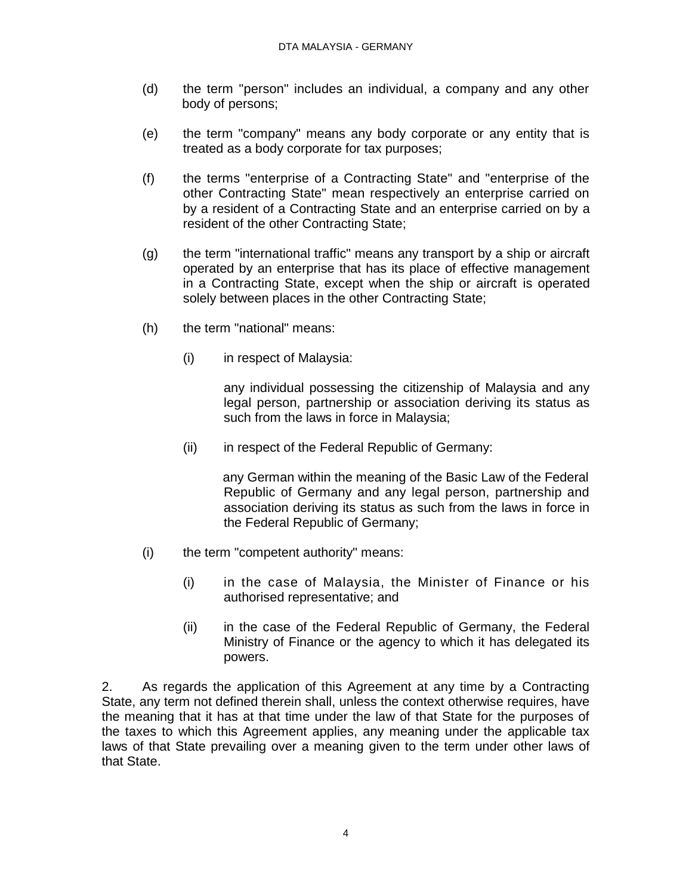- (d) the term "person" includes an individual, a company and any other body of persons;
- (e) the term "company" means any body corporate or any entity that is treated as a body corporate for tax purposes;
- (f) the terms "enterprise of a Contracting State" and "enterprise of the other Contracting State" mean respectively an enterprise carried on by a resident of a Contracting State and an enterprise carried on by a resident of the other Contracting State;
- (g) the term "international traffic" means any transport by a ship or aircraft operated by an enterprise that has its place of effective management in a Contracting State, except when the ship or aircraft is operated solely between places in the other Contracting State;
- (h) the term "national" means:
	- (i) in respect of Malaysia:

any individual possessing the citizenship of Malaysia and any legal person, partnership or association deriving its status as such from the laws in force in Malaysia;

(ii) in respect of the Federal Republic of Germany:

 any German within the meaning of the Basic Law of the Federal Republic of Germany and any legal person, partnership and association deriving its status as such from the laws in force in the Federal Republic of Germany;

- (i) the term "competent authority" means:
	- (i) in the case of Malaysia, the Minister of Finance or his authorised representative; and
	- (ii) in the case of the Federal Republic of Germany, the Federal Ministry of Finance or the agency to which it has delegated its powers.

2. As regards the application of this Agreement at any time by a Contracting State, any term not defined therein shall, unless the context otherwise requires, have the meaning that it has at that time under the law of that State for the purposes of the taxes to which this Agreement applies, any meaning under the applicable tax laws of that State prevailing over a meaning given to the term under other laws of that State.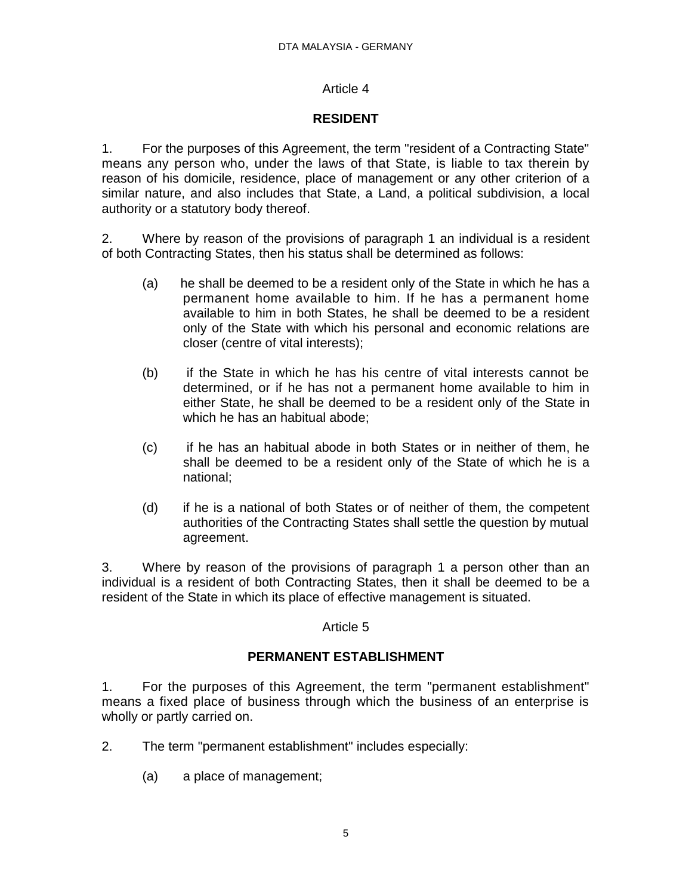#### Article 4

### **RESIDENT**

1. For the purposes of this Agreement, the term "resident of a Contracting State" means any person who, under the laws of that State, is liable to tax therein by reason of his domicile, residence, place of management or any other criterion of a similar nature, and also includes that State, a Land, a political subdivision, a local authority or a statutory body thereof.

2. Where by reason of the provisions of paragraph 1 an individual is a resident of both Contracting States, then his status shall be determined as follows:

- (a) he shall be deemed to be a resident only of the State in which he has a permanent home available to him. If he has a permanent home available to him in both States, he shall be deemed to be a resident only of the State with which his personal and economic relations are closer (centre of vital interests);
- (b) if the State in which he has his centre of vital interests cannot be determined, or if he has not a permanent home available to him in either State, he shall be deemed to be a resident only of the State in which he has an habitual abode;
- (c) if he has an habitual abode in both States or in neither of them, he shall be deemed to be a resident only of the State of which he is a national;
- (d) if he is a national of both States or of neither of them, the competent authorities of the Contracting States shall settle the question by mutual agreement.

3. Where by reason of the provisions of paragraph 1 a person other than an individual is a resident of both Contracting States, then it shall be deemed to be a resident of the State in which its place of effective management is situated.

#### Article 5

## **PERMANENT ESTABLISHMENT**

1. For the purposes of this Agreement, the term "permanent establishment" means a fixed place of business through which the business of an enterprise is wholly or partly carried on.

- 2. The term "permanent establishment" includes especially:
	- (a) a place of management;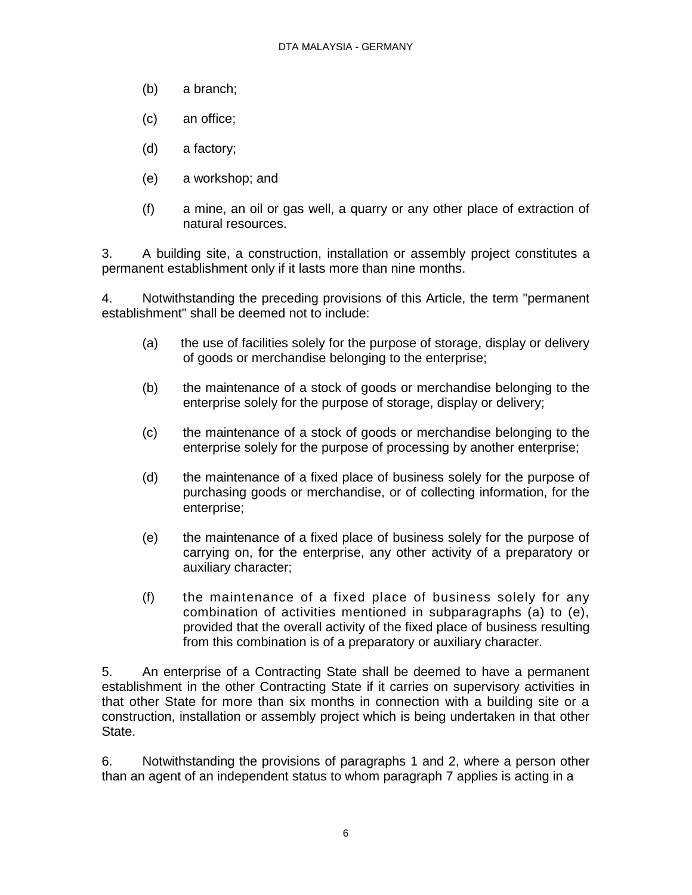- (b) a branch;
- (c) an office;
- (d) a factory;
- (e) a workshop; and
- (f) a mine, an oil or gas well, a quarry or any other place of extraction of natural resources.

3. A building site, a construction, installation or assembly project constitutes a permanent establishment only if it lasts more than nine months.

4. Notwithstanding the preceding provisions of this Article, the term "permanent establishment" shall be deemed not to include:

- (a) the use of facilities solely for the purpose of storage, display or delivery of goods or merchandise belonging to the enterprise;
- (b) the maintenance of a stock of goods or merchandise belonging to the enterprise solely for the purpose of storage, display or delivery;
- (c) the maintenance of a stock of goods or merchandise belonging to the enterprise solely for the purpose of processing by another enterprise;
- (d) the maintenance of a fixed place of business solely for the purpose of purchasing goods or merchandise, or of collecting information, for the enterprise;
- (e) the maintenance of a fixed place of business solely for the purpose of carrying on, for the enterprise, any other activity of a preparatory or auxiliary character;
- (f) the maintenance of a fixed place of business solely for any combination of activities mentioned in subparagraphs (a) to (e), provided that the overall activity of the fixed place of business resulting from this combination is of a preparatory or auxiliary character.

5. An enterprise of a Contracting State shall be deemed to have a permanent establishment in the other Contracting State if it carries on supervisory activities in that other State for more than six months in connection with a building site or a construction, installation or assembly project which is being undertaken in that other State.

6. Notwithstanding the provisions of paragraphs 1 and 2, where a person other than an agent of an independent status to whom paragraph 7 applies is acting in a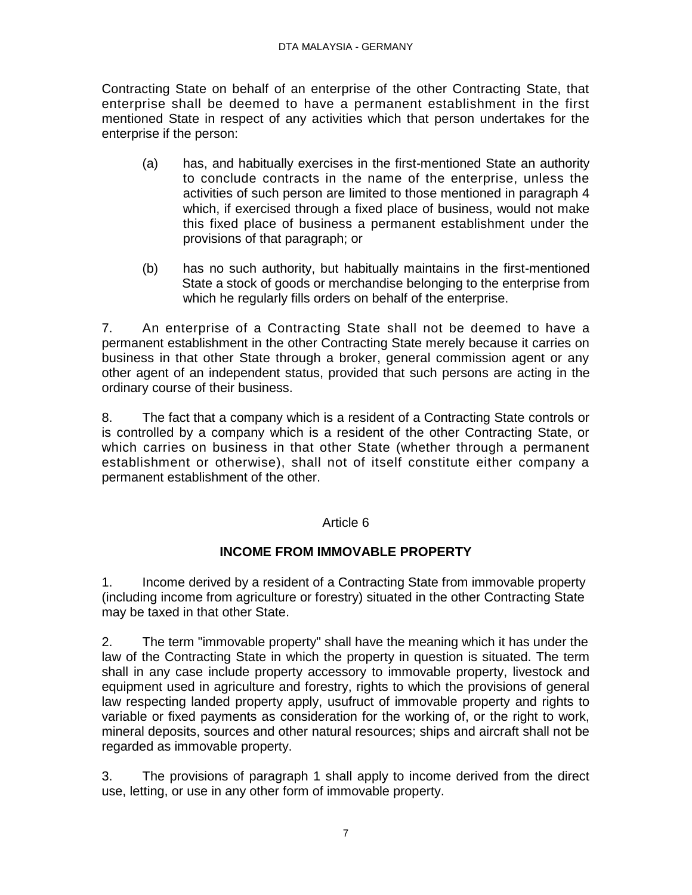Contracting State on behalf of an enterprise of the other Contracting State, that enterprise shall be deemed to have a permanent establishment in the first mentioned State in respect of any activities which that person undertakes for the enterprise if the person:

- (a) has, and habitually exercises in the first-mentioned State an authority to conclude contracts in the name of the enterprise, unless the activities of such person are limited to those mentioned in paragraph 4 which, if exercised through a fixed place of business, would not make this fixed place of business a permanent establishment under the provisions of that paragraph; or
- (b) has no such authority, but habitually maintains in the first-mentioned State a stock of goods or merchandise belonging to the enterprise from which he regularly fills orders on behalf of the enterprise.

7. An enterprise of a Contracting State shall not be deemed to have a permanent establishment in the other Contracting State merely because it carries on business in that other State through a broker, general commission agent or any other agent of an independent status, provided that such persons are acting in the ordinary course of their business.

8. The fact that a company which is a resident of a Contracting State controls or is controlled by a company which is a resident of the other Contracting State, or which carries on business in that other State (whether through a permanent establishment or otherwise), shall not of itself constitute either company a permanent establishment of the other.

## Article 6

## **INCOME FROM IMMOVABLE PROPERTY**

1. Income derived by a resident of a Contracting State from immovable property (including income from agriculture or forestry) situated in the other Contracting State may be taxed in that other State.

2. The term "immovable property" shall have the meaning which it has under the law of the Contracting State in which the property in question is situated. The term shall in any case include property accessory to immovable property, livestock and equipment used in agriculture and forestry, rights to which the provisions of general law respecting landed property apply, usufruct of immovable property and rights to variable or fixed payments as consideration for the working of, or the right to work, mineral deposits, sources and other natural resources; ships and aircraft shall not be regarded as immovable property.

3. The provisions of paragraph 1 shall apply to income derived from the direct use, letting, or use in any other form of immovable property.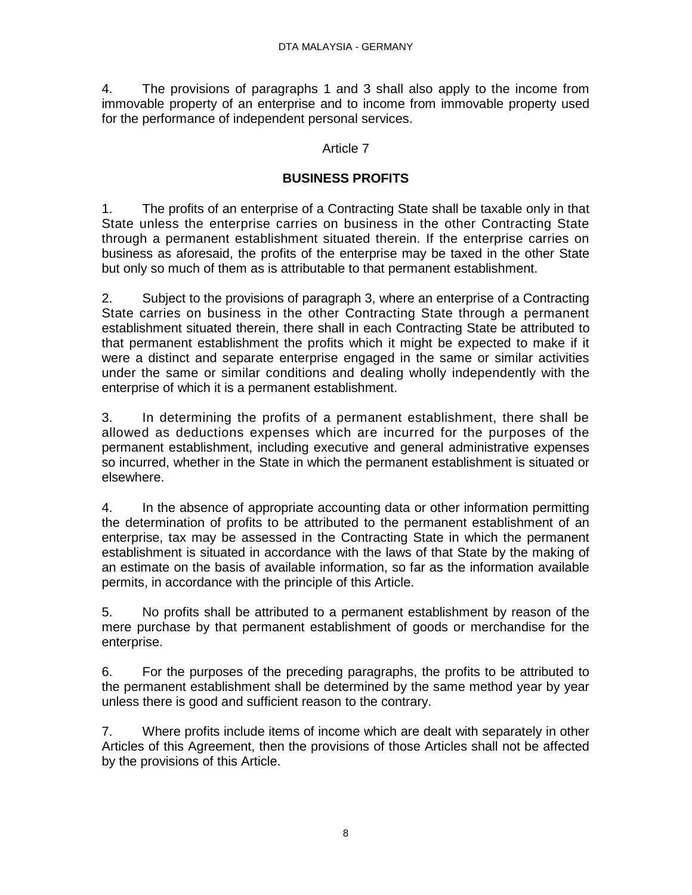4. The provisions of paragraphs 1 and 3 shall also apply to the income from immovable property of an enterprise and to income from immovable property used for the performance of independent personal services.

## Article 7

## **BUSINESS PROFITS**

1. The profits of an enterprise of a Contracting State shall be taxable only in that State unless the enterprise carries on business in the other Contracting State through a permanent establishment situated therein. If the enterprise carries on business as aforesaid, the profits of the enterprise may be taxed in the other State but only so much of them as is attributable to that permanent establishment.

2. Subject to the provisions of paragraph 3, where an enterprise of a Contracting State carries on business in the other Contracting State through a permanent establishment situated therein, there shall in each Contracting State be attributed to that permanent establishment the profits which it might be expected to make if it were a distinct and separate enterprise engaged in the same or similar activities under the same or similar conditions and dealing wholly independently with the enterprise of which it is a permanent establishment.

3. In determining the profits of a permanent establishment, there shall be allowed as deductions expenses which are incurred for the purposes of the permanent establishment, including executive and general administrative expenses so incurred, whether in the State in which the permanent establishment is situated or elsewhere.

4. In the absence of appropriate accounting data or other information permitting the determination of profits to be attributed to the permanent establishment of an enterprise, tax may be assessed in the Contracting State in which the permanent establishment is situated in accordance with the laws of that State by the making of an estimate on the basis of available information, so far as the information available permits, in accordance with the principle of this Article.

5. No profits shall be attributed to a permanent establishment by reason of the mere purchase by that permanent establishment of goods or merchandise for the enterprise.

6. For the purposes of the preceding paragraphs, the profits to be attributed to the permanent establishment shall be determined by the same method year by year unless there is good and sufficient reason to the contrary.

7. Where profits include items of income which are dealt with separately in other Articles of this Agreement, then the provisions of those Articles shall not be affected by the provisions of this Article.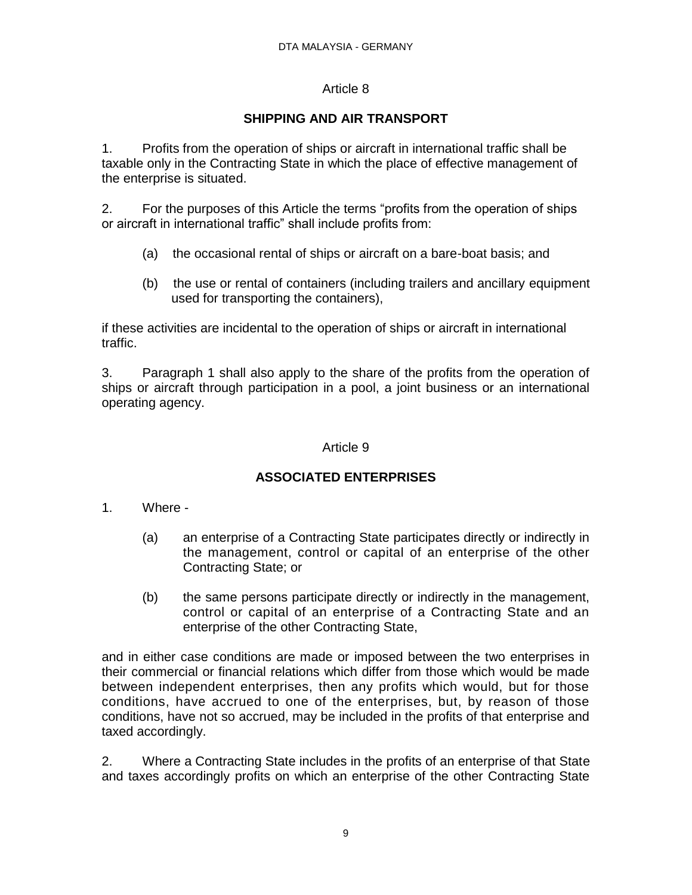#### Article 8

## **SHIPPING AND AIR TRANSPORT**

1. Profits from the operation of ships or aircraft in international traffic shall be taxable only in the Contracting State in which the place of effective management of the enterprise is situated.

2. For the purposes of this Article the terms "profits from the operation of ships or aircraft in international traffic" shall include profits from:

- (a) the occasional rental of ships or aircraft on a bare-boat basis; and
- (b) the use or rental of containers (including trailers and ancillary equipment used for transporting the containers),

if these activities are incidental to the operation of ships or aircraft in international traffic.

3. Paragraph 1 shall also apply to the share of the profits from the operation of ships or aircraft through participation in a pool, a joint business or an international operating agency.

#### Article 9

## **ASSOCIATED ENTERPRISES**

- 1. Where
	- (a) an enterprise of a Contracting State participates directly or indirectly in the management, control or capital of an enterprise of the other Contracting State; or
	- (b) the same persons participate directly or indirectly in the management, control or capital of an enterprise of a Contracting State and an enterprise of the other Contracting State,

and in either case conditions are made or imposed between the two enterprises in their commercial or financial relations which differ from those which would be made between independent enterprises, then any profits which would, but for those conditions, have accrued to one of the enterprises, but, by reason of those conditions, have not so accrued, may be included in the profits of that enterprise and taxed accordingly.

2. Where a Contracting State includes in the profits of an enterprise of that State and taxes accordingly profits on which an enterprise of the other Contracting State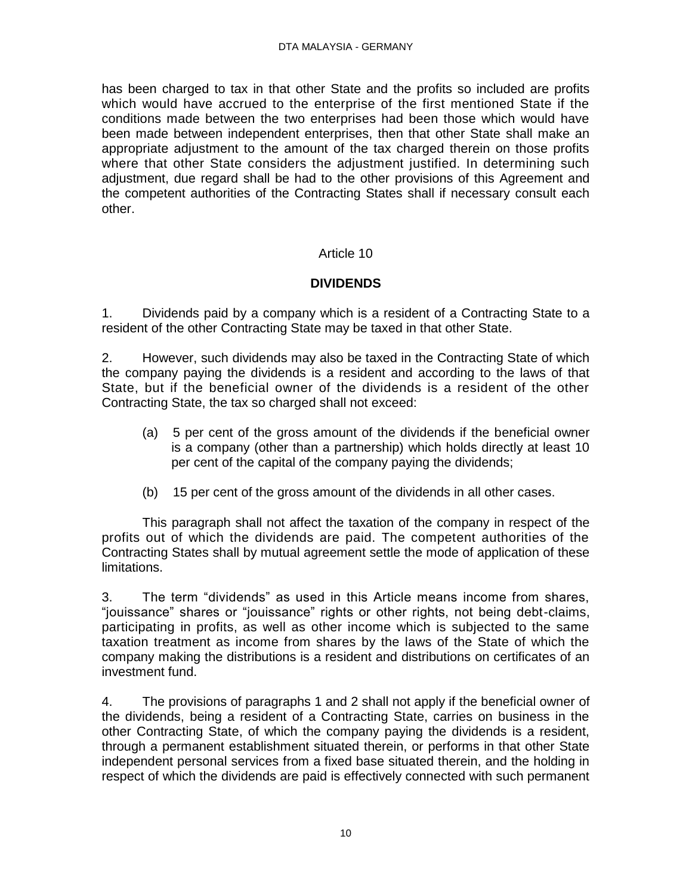has been charged to tax in that other State and the profits so included are profits which would have accrued to the enterprise of the first mentioned State if the conditions made between the two enterprises had been those which would have been made between independent enterprises, then that other State shall make an appropriate adjustment to the amount of the tax charged therein on those profits where that other State considers the adjustment justified. In determining such adjustment, due regard shall be had to the other provisions of this Agreement and the competent authorities of the Contracting States shall if necessary consult each other.

### Article 10

## **DIVIDENDS**

1. Dividends paid by a company which is a resident of a Contracting State to a resident of the other Contracting State may be taxed in that other State.

2. However, such dividends may also be taxed in the Contracting State of which the company paying the dividends is a resident and according to the laws of that State, but if the beneficial owner of the dividends is a resident of the other Contracting State, the tax so charged shall not exceed:

- (a) 5 per cent of the gross amount of the dividends if the beneficial owner is a company (other than a partnership) which holds directly at least 10 per cent of the capital of the company paying the dividends;
- (b) 15 per cent of the gross amount of the dividends in all other cases.

This paragraph shall not affect the taxation of the company in respect of the profits out of which the dividends are paid. The competent authorities of the Contracting States shall by mutual agreement settle the mode of application of these limitations.

3. The term "dividends" as used in this Article means income from shares, "jouissance" shares or "jouissance" rights or other rights, not being debt-claims, participating in profits, as well as other income which is subjected to the same taxation treatment as income from shares by the laws of the State of which the company making the distributions is a resident and distributions on certificates of an investment fund.

4. The provisions of paragraphs 1 and 2 shall not apply if the beneficial owner of the dividends, being a resident of a Contracting State, carries on business in the other Contracting State, of which the company paying the dividends is a resident, through a permanent establishment situated therein, or performs in that other State independent personal services from a fixed base situated therein, and the holding in respect of which the dividends are paid is effectively connected with such permanent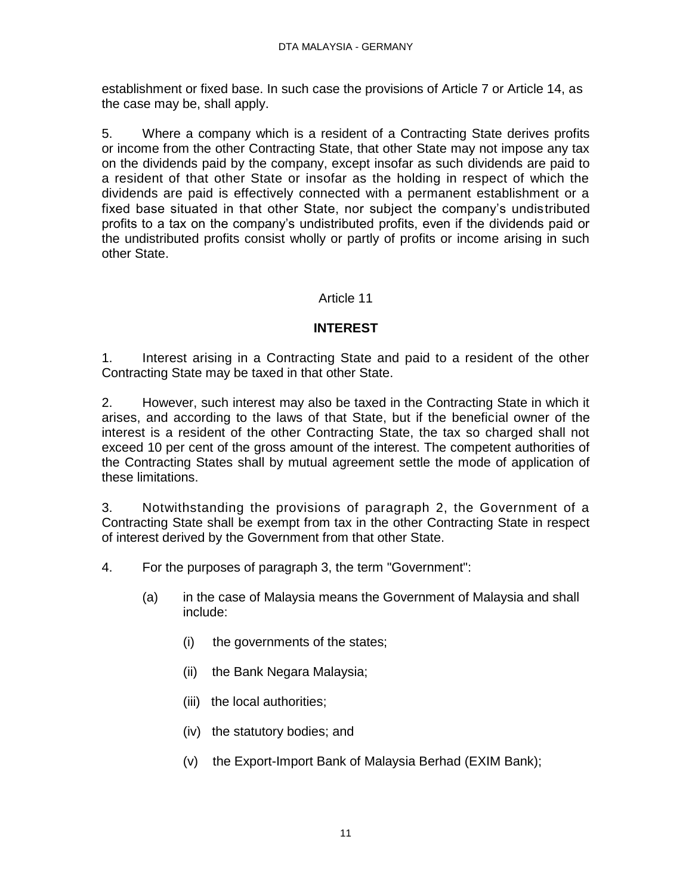establishment or fixed base. In such case the provisions of Article 7 or Article 14, as the case may be, shall apply.

5. Where a company which is a resident of a Contracting State derives profits or income from the other Contracting State, that other State may not impose any tax on the dividends paid by the company, except insofar as such dividends are paid to a resident of that other State or insofar as the holding in respect of which the dividends are paid is effectively connected with a permanent establishment or a fixed base situated in that other State, nor subject the company's undistributed profits to a tax on the company's undistributed profits, even if the dividends paid or the undistributed profits consist wholly or partly of profits or income arising in such other State.

## Article 11

## **INTEREST**

1. Interest arising in a Contracting State and paid to a resident of the other Contracting State may be taxed in that other State.

2. However, such interest may also be taxed in the Contracting State in which it arises, and according to the laws of that State, but if the beneficial owner of the interest is a resident of the other Contracting State, the tax so charged shall not exceed 10 per cent of the gross amount of the interest. The competent authorities of the Contracting States shall by mutual agreement settle the mode of application of these limitations.

3. Notwithstanding the provisions of paragraph 2, the Government of a Contracting State shall be exempt from tax in the other Contracting State in respect of interest derived by the Government from that other State.

4. For the purposes of paragraph 3, the term "Government":

- (a) in the case of Malaysia means the Government of Malaysia and shall include:
	- (i) the governments of the states;
	- (ii) the Bank Negara Malaysia;
	- (iii) the local authorities;
	- (iv) the statutory bodies; and
	- (v) the Export-Import Bank of Malaysia Berhad (EXIM Bank);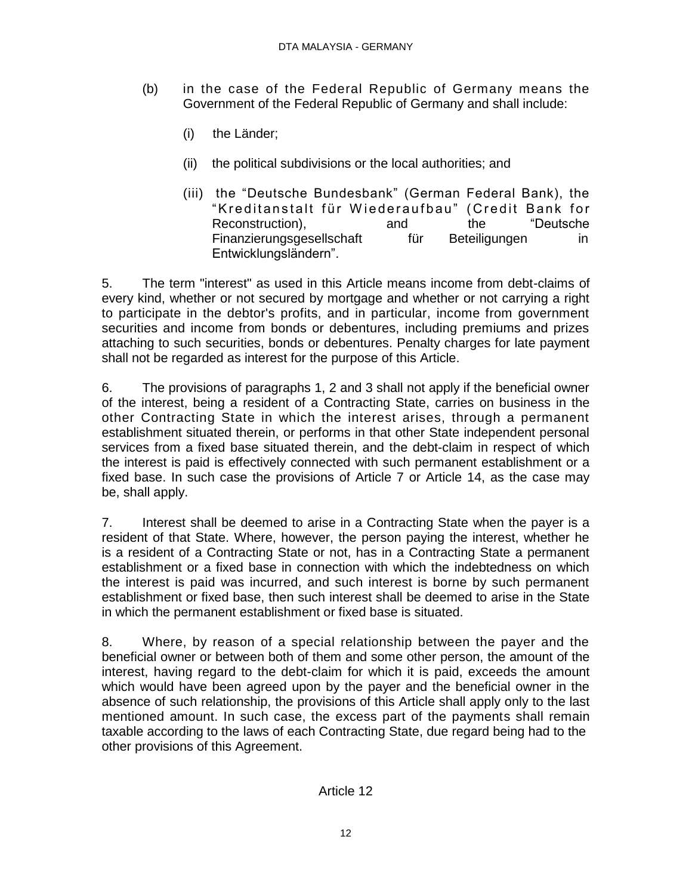- (b) in the case of the Federal Republic of Germany means the Government of the Federal Republic of Germany and shall include:
	- (i) the Länder;
	- (ii) the political subdivisions or the local authorities; and
	- (iii) the "Deutsche Bundesbank" (German Federal Bank), the "Kreditanstalt für Wiederaufbau" (Credit Bank for Reconstruction), and the "Deutsche Finanzierungsgesellschaft für Beteiligungen in Entwicklungsländern".

5. The term "interest" as used in this Article means income from debt-claims of every kind, whether or not secured by mortgage and whether or not carrying a right to participate in the debtor's profits, and in particular, income from government securities and income from bonds or debentures, including premiums and prizes attaching to such securities, bonds or debentures. Penalty charges for late payment shall not be regarded as interest for the purpose of this Article.

6. The provisions of paragraphs 1, 2 and 3 shall not apply if the beneficial owner of the interest, being a resident of a Contracting State, carries on business in the other Contracting State in which the interest arises, through a permanent establishment situated therein, or performs in that other State independent personal services from a fixed base situated therein, and the debt-claim in respect of which the interest is paid is effectively connected with such permanent establishment or a fixed base. In such case the provisions of Article 7 or Article 14, as the case may be, shall apply.

7. Interest shall be deemed to arise in a Contracting State when the payer is a resident of that State. Where, however, the person paying the interest, whether he is a resident of a Contracting State or not, has in a Contracting State a permanent establishment or a fixed base in connection with which the indebtedness on which the interest is paid was incurred, and such interest is borne by such permanent establishment or fixed base, then such interest shall be deemed to arise in the State in which the permanent establishment or fixed base is situated.

8. Where, by reason of a special relationship between the payer and the beneficial owner or between both of them and some other person, the amount of the interest, having regard to the debt-claim for which it is paid, exceeds the amount which would have been agreed upon by the payer and the beneficial owner in the absence of such relationship, the provisions of this Article shall apply only to the last mentioned amount. In such case, the excess part of the payments shall remain taxable according to the laws of each Contracting State, due regard being had to the other provisions of this Agreement.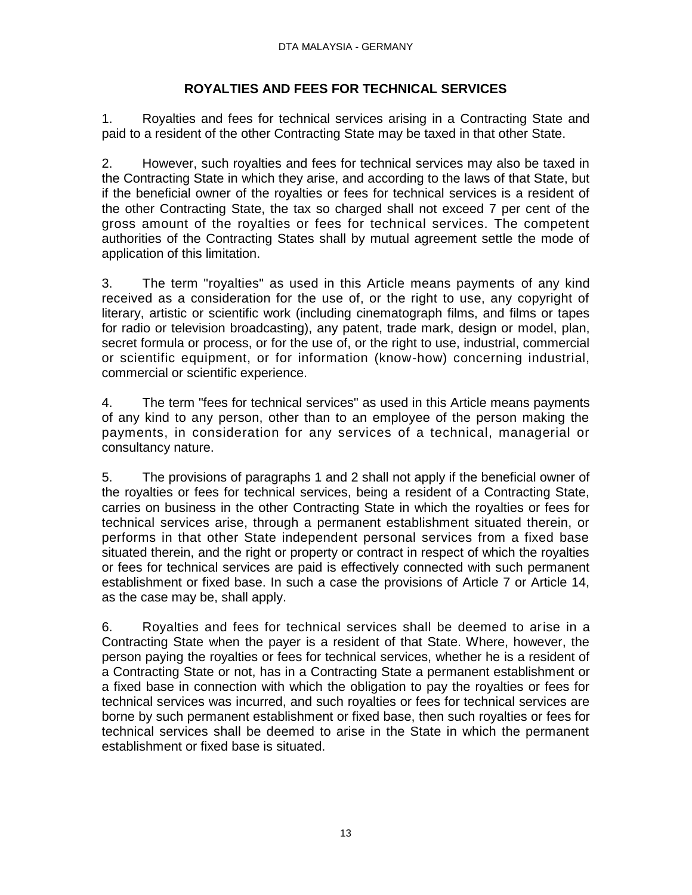## **ROYALTIES AND FEES FOR TECHNICAL SERVICES**

1. Royalties and fees for technical services arising in a Contracting State and paid to a resident of the other Contracting State may be taxed in that other State.

2. However, such royalties and fees for technical services may also be taxed in the Contracting State in which they arise, and according to the laws of that State, but if the beneficial owner of the royalties or fees for technical services is a resident of the other Contracting State, the tax so charged shall not exceed 7 per cent of the gross amount of the royalties or fees for technical services. The competent authorities of the Contracting States shall by mutual agreement settle the mode of application of this limitation.

3. The term "royalties" as used in this Article means payments of any kind received as a consideration for the use of, or the right to use, any copyright of literary, artistic or scientific work (including cinematograph films, and films or tapes for radio or television broadcasting), any patent, trade mark, design or model, plan, secret formula or process, or for the use of, or the right to use, industrial, commercial or scientific equipment, or for information (know-how) concerning industrial, commercial or scientific experience.

4. The term "fees for technical services" as used in this Article means payments of any kind to any person, other than to an employee of the person making the payments, in consideration for any services of a technical, managerial or consultancy nature.

5. The provisions of paragraphs 1 and 2 shall not apply if the beneficial owner of the royalties or fees for technical services, being a resident of a Contracting State, carries on business in the other Contracting State in which the royalties or fees for technical services arise, through a permanent establishment situated therein, or performs in that other State independent personal services from a fixed base situated therein, and the right or property or contract in respect of which the royalties or fees for technical services are paid is effectively connected with such permanent establishment or fixed base. In such a case the provisions of Article 7 or Article 14, as the case may be, shall apply.

6. Royalties and fees for technical services shall be deemed to arise in a Contracting State when the payer is a resident of that State. Where, however, the person paying the royalties or fees for technical services, whether he is a resident of a Contracting State or not, has in a Contracting State a permanent establishment or a fixed base in connection with which the obligation to pay the royalties or fees for technical services was incurred, and such royalties or fees for technical services are borne by such permanent establishment or fixed base, then such royalties or fees for technical services shall be deemed to arise in the State in which the permanent establishment or fixed base is situated.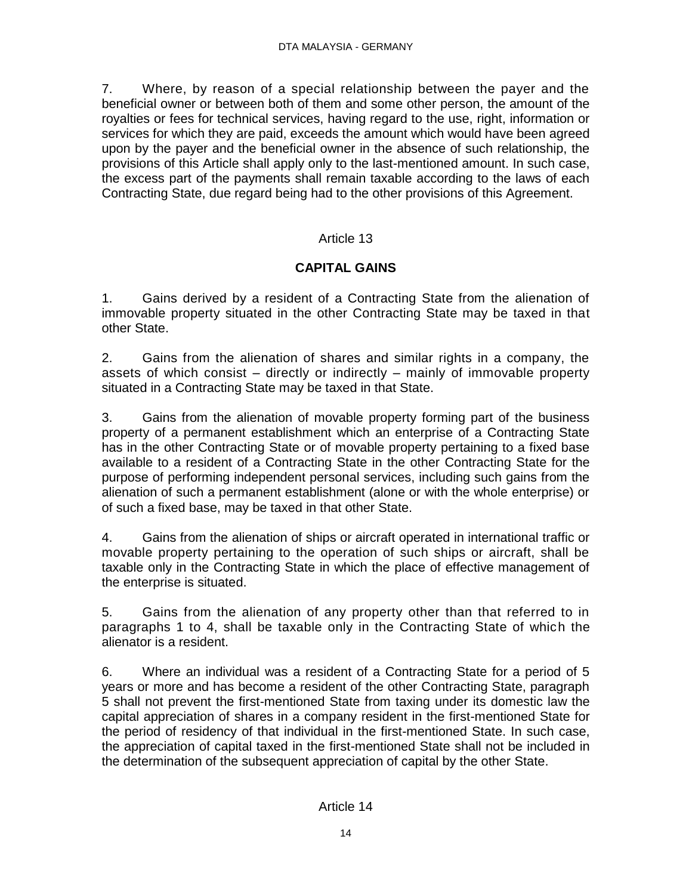7. Where, by reason of a special relationship between the payer and the beneficial owner or between both of them and some other person, the amount of the royalties or fees for technical services, having regard to the use, right, information or services for which they are paid, exceeds the amount which would have been agreed upon by the payer and the beneficial owner in the absence of such relationship, the provisions of this Article shall apply only to the last-mentioned amount. In such case, the excess part of the payments shall remain taxable according to the laws of each Contracting State, due regard being had to the other provisions of this Agreement.

## Article 13

# **CAPITAL GAINS**

1. Gains derived by a resident of a Contracting State from the alienation of immovable property situated in the other Contracting State may be taxed in that other State.

2. Gains from the alienation of shares and similar rights in a company, the assets of which consist – directly or indirectly – mainly of immovable property situated in a Contracting State may be taxed in that State.

3. Gains from the alienation of movable property forming part of the business property of a permanent establishment which an enterprise of a Contracting State has in the other Contracting State or of movable property pertaining to a fixed base available to a resident of a Contracting State in the other Contracting State for the purpose of performing independent personal services, including such gains from the alienation of such a permanent establishment (alone or with the whole enterprise) or of such a fixed base, may be taxed in that other State.

4. Gains from the alienation of ships or aircraft operated in international traffic or movable property pertaining to the operation of such ships or aircraft, shall be taxable only in the Contracting State in which the place of effective management of the enterprise is situated.

5. Gains from the alienation of any property other than that referred to in paragraphs 1 to 4, shall be taxable only in the Contracting State of which the alienator is a resident.

6. Where an individual was a resident of a Contracting State for a period of 5 years or more and has become a resident of the other Contracting State, paragraph 5 shall not prevent the first-mentioned State from taxing under its domestic law the capital appreciation of shares in a company resident in the first-mentioned State for the period of residency of that individual in the first-mentioned State. In such case, the appreciation of capital taxed in the first-mentioned State shall not be included in the determination of the subsequent appreciation of capital by the other State.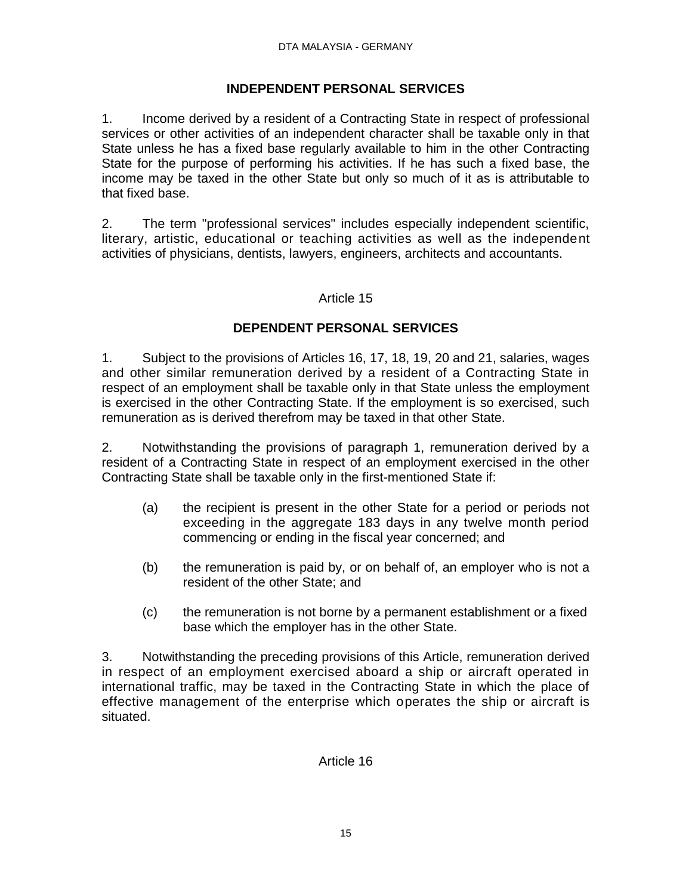### **INDEPENDENT PERSONAL SERVICES**

1. Income derived by a resident of a Contracting State in respect of professional services or other activities of an independent character shall be taxable only in that State unless he has a fixed base regularly available to him in the other Contracting State for the purpose of performing his activities. If he has such a fixed base, the income may be taxed in the other State but only so much of it as is attributable to that fixed base.

2. The term "professional services" includes especially independent scientific, literary, artistic, educational or teaching activities as well as the independent activities of physicians, dentists, lawyers, engineers, architects and accountants.

#### Article 15

### **DEPENDENT PERSONAL SERVICES**

1. Subject to the provisions of Articles 16, 17, 18, 19, 20 and 21, salaries, wages and other similar remuneration derived by a resident of a Contracting State in respect of an employment shall be taxable only in that State unless the employment is exercised in the other Contracting State. If the employment is so exercised, such remuneration as is derived therefrom may be taxed in that other State.

2. Notwithstanding the provisions of paragraph 1, remuneration derived by a resident of a Contracting State in respect of an employment exercised in the other Contracting State shall be taxable only in the first-mentioned State if:

- (a) the recipient is present in the other State for a period or periods not exceeding in the aggregate 183 days in any twelve month period commencing or ending in the fiscal year concerned; and
- (b) the remuneration is paid by, or on behalf of, an employer who is not a resident of the other State; and
- (c) the remuneration is not borne by a permanent establishment or a fixed base which the employer has in the other State.

3. Notwithstanding the preceding provisions of this Article, remuneration derived in respect of an employment exercised aboard a ship or aircraft operated in international traffic, may be taxed in the Contracting State in which the place of effective management of the enterprise which operates the ship or aircraft is situated.

Article 16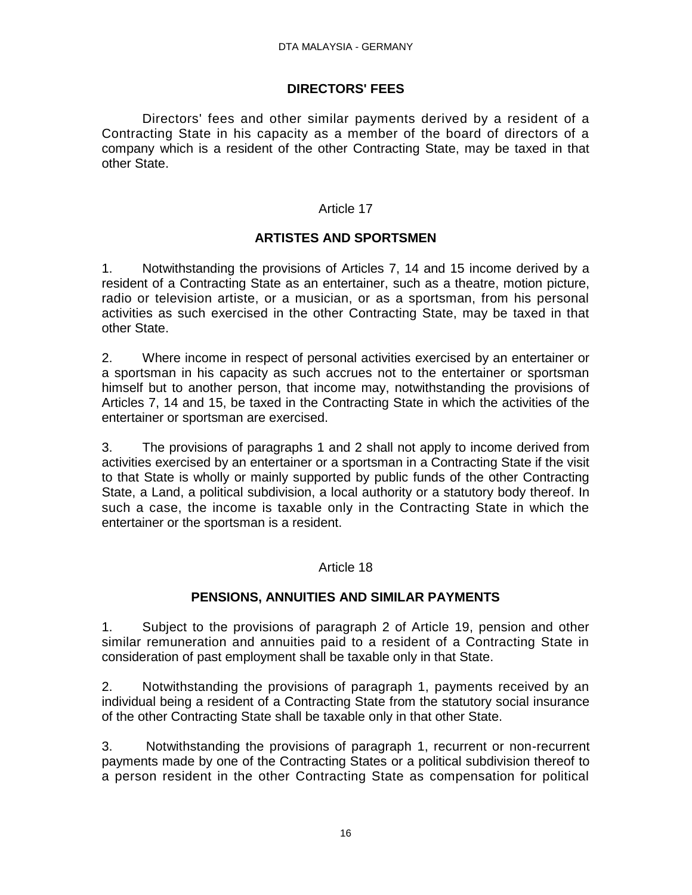#### **DIRECTORS' FEES**

Directors' fees and other similar payments derived by a resident of a Contracting State in his capacity as a member of the board of directors of a company which is a resident of the other Contracting State, may be taxed in that other State.

### Article 17

## **ARTISTES AND SPORTSMEN**

1. Notwithstanding the provisions of Articles 7, 14 and 15 income derived by a resident of a Contracting State as an entertainer, such as a theatre, motion picture, radio or television artiste, or a musician, or as a sportsman, from his personal activities as such exercised in the other Contracting State, may be taxed in that other State.

2. Where income in respect of personal activities exercised by an entertainer or a sportsman in his capacity as such accrues not to the entertainer or sportsman himself but to another person, that income may, notwithstanding the provisions of Articles 7, 14 and 15, be taxed in the Contracting State in which the activities of the entertainer or sportsman are exercised.

3. The provisions of paragraphs 1 and 2 shall not apply to income derived from activities exercised by an entertainer or a sportsman in a Contracting State if the visit to that State is wholly or mainly supported by public funds of the other Contracting State, a Land, a political subdivision, a local authority or a statutory body thereof. In such a case, the income is taxable only in the Contracting State in which the entertainer or the sportsman is a resident.

## Article 18

## **PENSIONS, ANNUITIES AND SIMILAR PAYMENTS**

1. Subject to the provisions of paragraph 2 of Article 19, pension and other similar remuneration and annuities paid to a resident of a Contracting State in consideration of past employment shall be taxable only in that State.

2. Notwithstanding the provisions of paragraph 1, payments received by an individual being a resident of a Contracting State from the statutory social insurance of the other Contracting State shall be taxable only in that other State.

3. Notwithstanding the provisions of paragraph 1, recurrent or non-recurrent payments made by one of the Contracting States or a political subdivision thereof to a person resident in the other Contracting State as compensation for political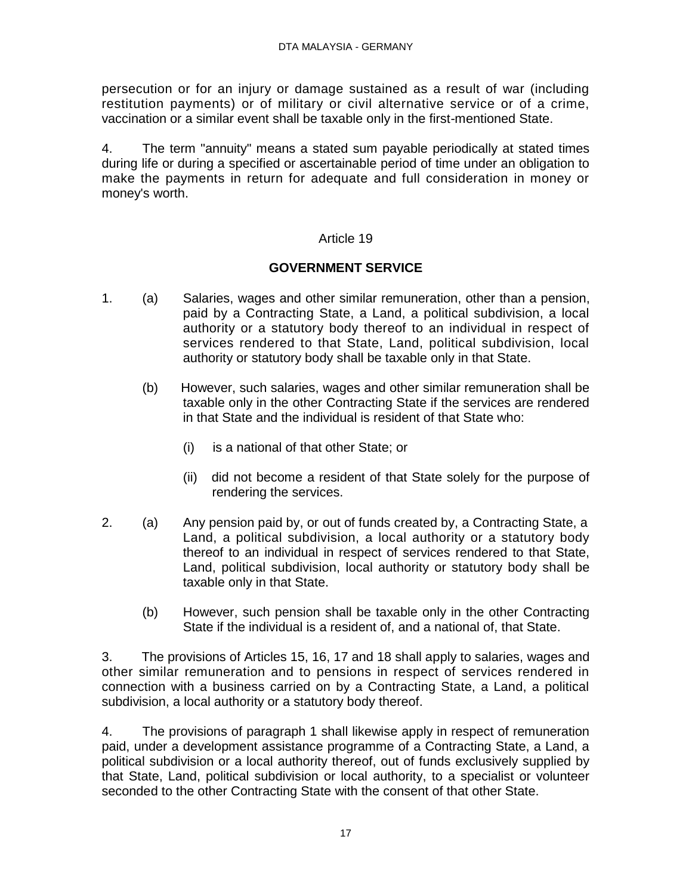persecution or for an injury or damage sustained as a result of war (including restitution payments) or of military or civil alternative service or of a crime, vaccination or a similar event shall be taxable only in the first-mentioned State.

4. The term "annuity" means a stated sum payable periodically at stated times during life or during a specified or ascertainable period of time under an obligation to make the payments in return for adequate and full consideration in money or money's worth.

### Article 19

### **GOVERNMENT SERVICE**

- 1. (a) Salaries, wages and other similar remuneration, other than a pension, paid by a Contracting State, a Land, a political subdivision, a local authority or a statutory body thereof to an individual in respect of services rendered to that State, Land, political subdivision, local authority or statutory body shall be taxable only in that State.
	- (b) However, such salaries, wages and other similar remuneration shall be taxable only in the other Contracting State if the services are rendered in that State and the individual is resident of that State who:
		- (i) is a national of that other State; or
		- (ii) did not become a resident of that State solely for the purpose of rendering the services.
- 2. (a) Any pension paid by, or out of funds created by, a Contracting State, a Land, a political subdivision, a local authority or a statutory body thereof to an individual in respect of services rendered to that State, Land, political subdivision, local authority or statutory body shall be taxable only in that State.
	- (b) However, such pension shall be taxable only in the other Contracting State if the individual is a resident of, and a national of, that State.

3. The provisions of Articles 15, 16, 17 and 18 shall apply to salaries, wages and other similar remuneration and to pensions in respect of services rendered in connection with a business carried on by a Contracting State, a Land, a political subdivision, a local authority or a statutory body thereof.

4. The provisions of paragraph 1 shall likewise apply in respect of remuneration paid, under a development assistance programme of a Contracting State, a Land, a political subdivision or a local authority thereof, out of funds exclusively supplied by that State, Land, political subdivision or local authority, to a specialist or volunteer seconded to the other Contracting State with the consent of that other State.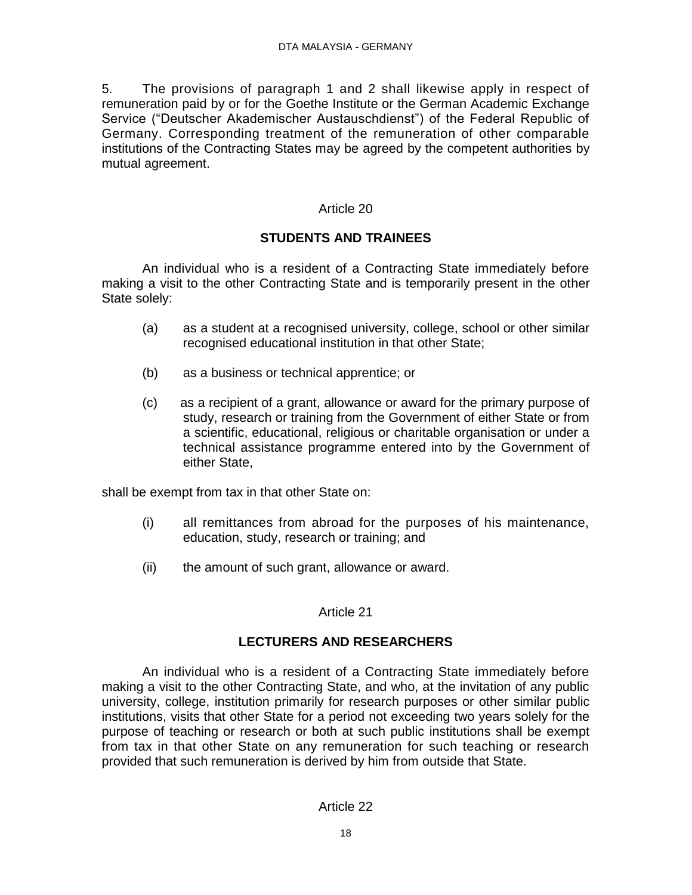5. The provisions of paragraph 1 and 2 shall likewise apply in respect of remuneration paid by or for the Goethe Institute or the German Academic Exchange Service ("Deutscher Akademischer Austauschdienst") of the Federal Republic of Germany. Corresponding treatment of the remuneration of other comparable institutions of the Contracting States may be agreed by the competent authorities by mutual agreement.

### Article 20

## **STUDENTS AND TRAINEES**

An individual who is a resident of a Contracting State immediately before making a visit to the other Contracting State and is temporarily present in the other State solely:

- (a) as a student at a recognised university, college, school or other similar recognised educational institution in that other State:
- (b) as a business or technical apprentice; or
- (c) as a recipient of a grant, allowance or award for the primary purpose of study, research or training from the Government of either State or from a scientific, educational, religious or charitable organisation or under a technical assistance programme entered into by the Government of either State,

shall be exempt from tax in that other State on:

- (i) all remittances from abroad for the purposes of his maintenance, education, study, research or training; and
- (ii) the amount of such grant, allowance or award.

## Article 21

## **LECTURERS AND RESEARCHERS**

An individual who is a resident of a Contracting State immediately before making a visit to the other Contracting State, and who, at the invitation of any public university, college, institution primarily for research purposes or other similar public institutions, visits that other State for a period not exceeding two years solely for the purpose of teaching or research or both at such public institutions shall be exempt from tax in that other State on any remuneration for such teaching or research provided that such remuneration is derived by him from outside that State.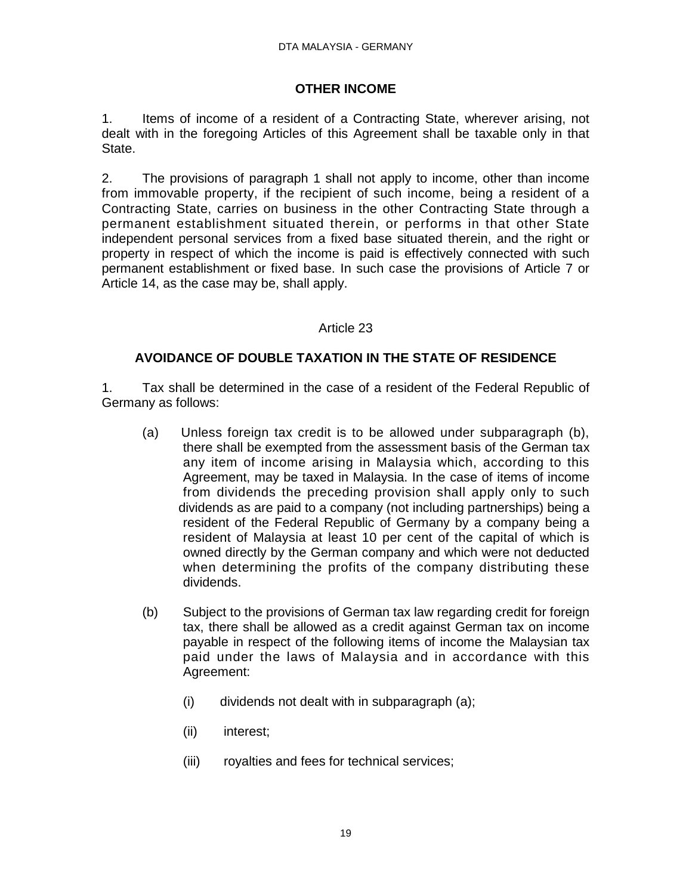## **OTHER INCOME**

1. Items of income of a resident of a Contracting State, wherever arising, not dealt with in the foregoing Articles of this Agreement shall be taxable only in that State.

2. The provisions of paragraph 1 shall not apply to income, other than income from immovable property, if the recipient of such income, being a resident of a Contracting State, carries on business in the other Contracting State through a permanent establishment situated therein, or performs in that other State independent personal services from a fixed base situated therein, and the right or property in respect of which the income is paid is effectively connected with such permanent establishment or fixed base. In such case the provisions of Article 7 or Article 14, as the case may be, shall apply.

## Article 23

## **AVOIDANCE OF DOUBLE TAXATION IN THE STATE OF RESIDENCE**

1. Tax shall be determined in the case of a resident of the Federal Republic of Germany as follows:

- (a) Unless foreign tax credit is to be allowed under subparagraph (b), there shall be exempted from the assessment basis of the German tax any item of income arising in Malaysia which, according to this Agreement, may be taxed in Malaysia. In the case of items of income from dividends the preceding provision shall apply only to such dividends as are paid to a company (not including partnerships) being a resident of the Federal Republic of Germany by a company being a resident of Malaysia at least 10 per cent of the capital of which is owned directly by the German company and which were not deducted when determining the profits of the company distributing these dividends.
- (b) Subject to the provisions of German tax law regarding credit for foreign tax, there shall be allowed as a credit against German tax on income payable in respect of the following items of income the Malaysian tax paid under the laws of Malaysia and in accordance with this Agreement:
	- (i) dividends not dealt with in subparagraph (a);
	- (ii) interest;
	- (iii) royalties and fees for technical services;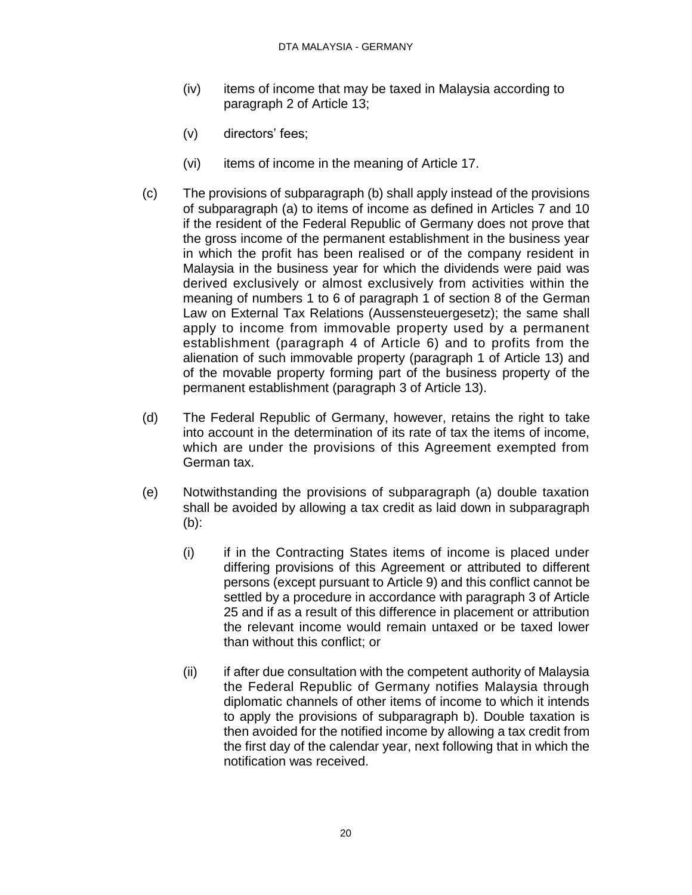- (iv) items of income that may be taxed in Malaysia according to paragraph 2 of Article 13;
- (v) directors' fees;
- (vi) items of income in the meaning of Article 17.
- (c) The provisions of subparagraph (b) shall apply instead of the provisions of subparagraph (a) to items of income as defined in Articles 7 and 10 if the resident of the Federal Republic of Germany does not prove that the gross income of the permanent establishment in the business year in which the profit has been realised or of the company resident in Malaysia in the business year for which the dividends were paid was derived exclusively or almost exclusively from activities within the meaning of numbers 1 to 6 of paragraph 1 of section 8 of the German Law on External Tax Relations (Aussensteuergesetz); the same shall apply to income from immovable property used by a permanent establishment (paragraph 4 of Article 6) and to profits from the alienation of such immovable property (paragraph 1 of Article 13) and of the movable property forming part of the business property of the permanent establishment (paragraph 3 of Article 13).
- (d) The Federal Republic of Germany, however, retains the right to take into account in the determination of its rate of tax the items of income, which are under the provisions of this Agreement exempted from German tax.
- (e) Notwithstanding the provisions of subparagraph (a) double taxation shall be avoided by allowing a tax credit as laid down in subparagraph (b):
	- (i) if in the Contracting States items of income is placed under differing provisions of this Agreement or attributed to different persons (except pursuant to Article 9) and this conflict cannot be settled by a procedure in accordance with paragraph 3 of Article 25 and if as a result of this difference in placement or attribution the relevant income would remain untaxed or be taxed lower than without this conflict; or
	- (ii) if after due consultation with the competent authority of Malaysia the Federal Republic of Germany notifies Malaysia through diplomatic channels of other items of income to which it intends to apply the provisions of subparagraph b). Double taxation is then avoided for the notified income by allowing a tax credit from the first day of the calendar year, next following that in which the notification was received.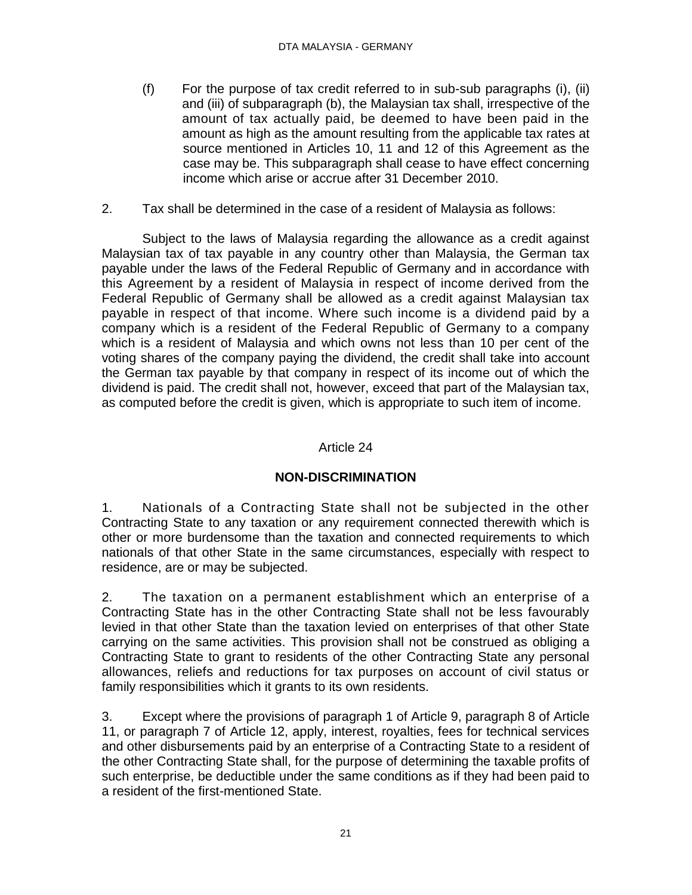- (f) For the purpose of tax credit referred to in sub-sub paragraphs (i), (ii) and (iii) of subparagraph (b), the Malaysian tax shall, irrespective of the amount of tax actually paid, be deemed to have been paid in the amount as high as the amount resulting from the applicable tax rates at source mentioned in Articles 10, 11 and 12 of this Agreement as the case may be. This subparagraph shall cease to have effect concerning income which arise or accrue after 31 December 2010.
- 2. Tax shall be determined in the case of a resident of Malaysia as follows:

Subject to the laws of Malaysia regarding the allowance as a credit against Malaysian tax of tax payable in any country other than Malaysia, the German tax payable under the laws of the Federal Republic of Germany and in accordance with this Agreement by a resident of Malaysia in respect of income derived from the Federal Republic of Germany shall be allowed as a credit against Malaysian tax payable in respect of that income. Where such income is a dividend paid by a company which is a resident of the Federal Republic of Germany to a company which is a resident of Malaysia and which owns not less than 10 per cent of the voting shares of the company paying the dividend, the credit shall take into account the German tax payable by that company in respect of its income out of which the dividend is paid. The credit shall not, however, exceed that part of the Malaysian tax, as computed before the credit is given, which is appropriate to such item of income.

#### Article 24

## **NON-DISCRIMINATION**

1. Nationals of a Contracting State shall not be subjected in the other Contracting State to any taxation or any requirement connected therewith which is other or more burdensome than the taxation and connected requirements to which nationals of that other State in the same circumstances, especially with respect to residence, are or may be subjected.

2. The taxation on a permanent establishment which an enterprise of a Contracting State has in the other Contracting State shall not be less favourably levied in that other State than the taxation levied on enterprises of that other State carrying on the same activities. This provision shall not be construed as obliging a Contracting State to grant to residents of the other Contracting State any personal allowances, reliefs and reductions for tax purposes on account of civil status or family responsibilities which it grants to its own residents.

3. Except where the provisions of paragraph 1 of Article 9, paragraph 8 of Article 11, or paragraph 7 of Article 12, apply, interest, royalties, fees for technical services and other disbursements paid by an enterprise of a Contracting State to a resident of the other Contracting State shall, for the purpose of determining the taxable profits of such enterprise, be deductible under the same conditions as if they had been paid to a resident of the first-mentioned State.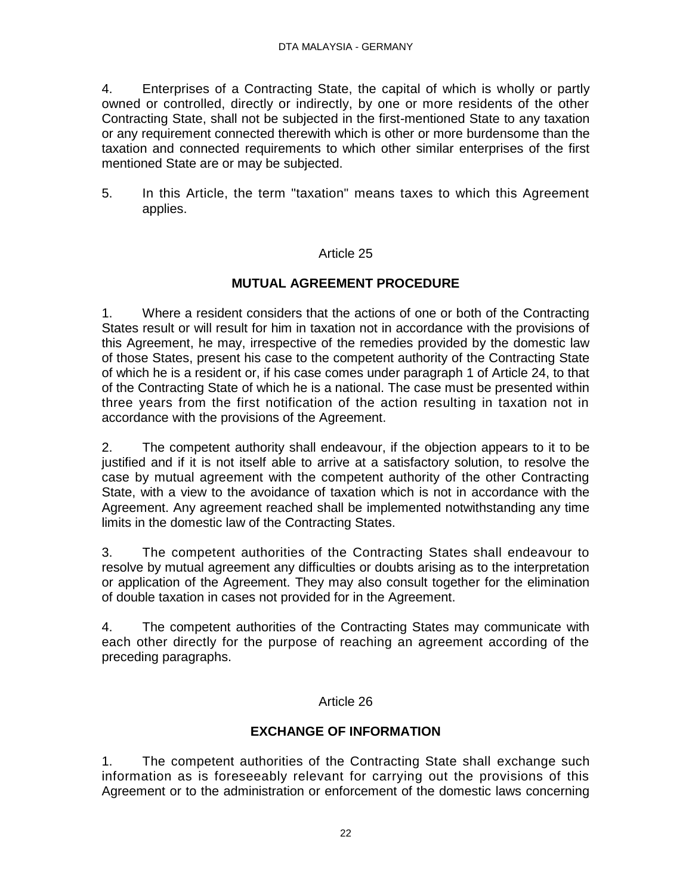4. Enterprises of a Contracting State, the capital of which is wholly or partly owned or controlled, directly or indirectly, by one or more residents of the other Contracting State, shall not be subjected in the first-mentioned State to any taxation or any requirement connected therewith which is other or more burdensome than the taxation and connected requirements to which other similar enterprises of the first mentioned State are or may be subjected.

5. In this Article, the term "taxation" means taxes to which this Agreement applies.

## Article 25

## **MUTUAL AGREEMENT PROCEDURE**

1. Where a resident considers that the actions of one or both of the Contracting States result or will result for him in taxation not in accordance with the provisions of this Agreement, he may, irrespective of the remedies provided by the domestic law of those States, present his case to the competent authority of the Contracting State of which he is a resident or, if his case comes under paragraph 1 of Article 24, to that of the Contracting State of which he is a national. The case must be presented within three years from the first notification of the action resulting in taxation not in accordance with the provisions of the Agreement.

2. The competent authority shall endeavour, if the objection appears to it to be justified and if it is not itself able to arrive at a satisfactory solution, to resolve the case by mutual agreement with the competent authority of the other Contracting State, with a view to the avoidance of taxation which is not in accordance with the Agreement. Any agreement reached shall be implemented notwithstanding any time limits in the domestic law of the Contracting States.

3. The competent authorities of the Contracting States shall endeavour to resolve by mutual agreement any difficulties or doubts arising as to the interpretation or application of the Agreement. They may also consult together for the elimination of double taxation in cases not provided for in the Agreement.

4. The competent authorities of the Contracting States may communicate with each other directly for the purpose of reaching an agreement according of the preceding paragraphs.

## Article 26

## **EXCHANGE OF INFORMATION**

1. The competent authorities of the Contracting State shall exchange such information as is foreseeably relevant for carrying out the provisions of this Agreement or to the administration or enforcement of the domestic laws concerning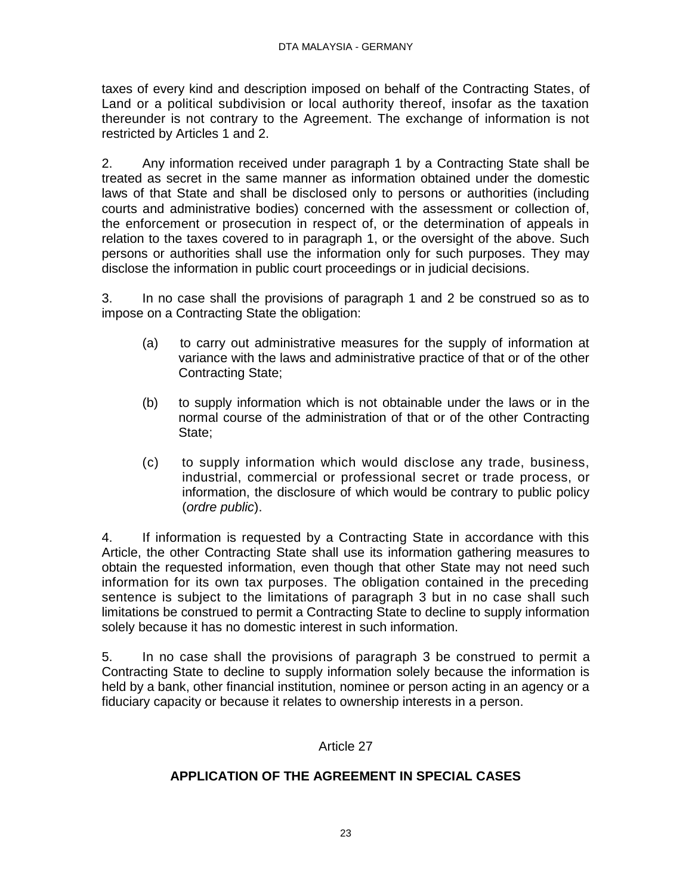taxes of every kind and description imposed on behalf of the Contracting States, of Land or a political subdivision or local authority thereof, insofar as the taxation thereunder is not contrary to the Agreement. The exchange of information is not restricted by Articles 1 and 2.

2. Any information received under paragraph 1 by a Contracting State shall be treated as secret in the same manner as information obtained under the domestic laws of that State and shall be disclosed only to persons or authorities (including courts and administrative bodies) concerned with the assessment or collection of, the enforcement or prosecution in respect of, or the determination of appeals in relation to the taxes covered to in paragraph 1, or the oversight of the above. Such persons or authorities shall use the information only for such purposes. They may disclose the information in public court proceedings or in judicial decisions.

3. In no case shall the provisions of paragraph 1 and 2 be construed so as to impose on a Contracting State the obligation:

- (a) to carry out administrative measures for the supply of information at variance with the laws and administrative practice of that or of the other Contracting State;
- (b) to supply information which is not obtainable under the laws or in the normal course of the administration of that or of the other Contracting State;
- (c) to supply information which would disclose any trade, business, industrial, commercial or professional secret or trade process, or information, the disclosure of which would be contrary to public policy (*ordre public*).

4. If information is requested by a Contracting State in accordance with this Article, the other Contracting State shall use its information gathering measures to obtain the requested information, even though that other State may not need such information for its own tax purposes. The obligation contained in the preceding sentence is subject to the limitations of paragraph 3 but in no case shall such limitations be construed to permit a Contracting State to decline to supply information solely because it has no domestic interest in such information.

5. In no case shall the provisions of paragraph 3 be construed to permit a Contracting State to decline to supply information solely because the information is held by a bank, other financial institution, nominee or person acting in an agency or a fiduciary capacity or because it relates to ownership interests in a person.

#### Article 27

## **APPLICATION OF THE AGREEMENT IN SPECIAL CASES**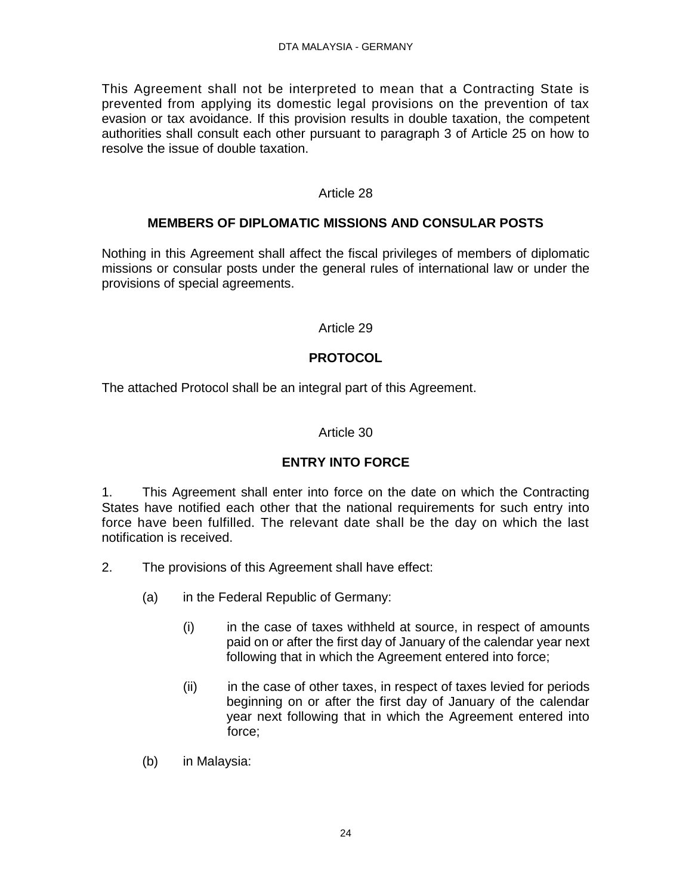This Agreement shall not be interpreted to mean that a Contracting State is prevented from applying its domestic legal provisions on the prevention of tax evasion or tax avoidance. If this provision results in double taxation, the competent authorities shall consult each other pursuant to paragraph 3 of Article 25 on how to resolve the issue of double taxation.

### Article 28

### **MEMBERS OF DIPLOMATIC MISSIONS AND CONSULAR POSTS**

Nothing in this Agreement shall affect the fiscal privileges of members of diplomatic missions or consular posts under the general rules of international law or under the provisions of special agreements.

### Article 29

## **PROTOCOL**

The attached Protocol shall be an integral part of this Agreement.

### Article 30

## **ENTRY INTO FORCE**

1. This Agreement shall enter into force on the date on which the Contracting States have notified each other that the national requirements for such entry into force have been fulfilled. The relevant date shall be the day on which the last notification is received.

- 2. The provisions of this Agreement shall have effect:
	- (a) in the Federal Republic of Germany:
		- (i) in the case of taxes withheld at source, in respect of amounts paid on or after the first day of January of the calendar year next following that in which the Agreement entered into force;
		- (ii) in the case of other taxes, in respect of taxes levied for periods beginning on or after the first day of January of the calendar year next following that in which the Agreement entered into force;
	- (b) in Malaysia: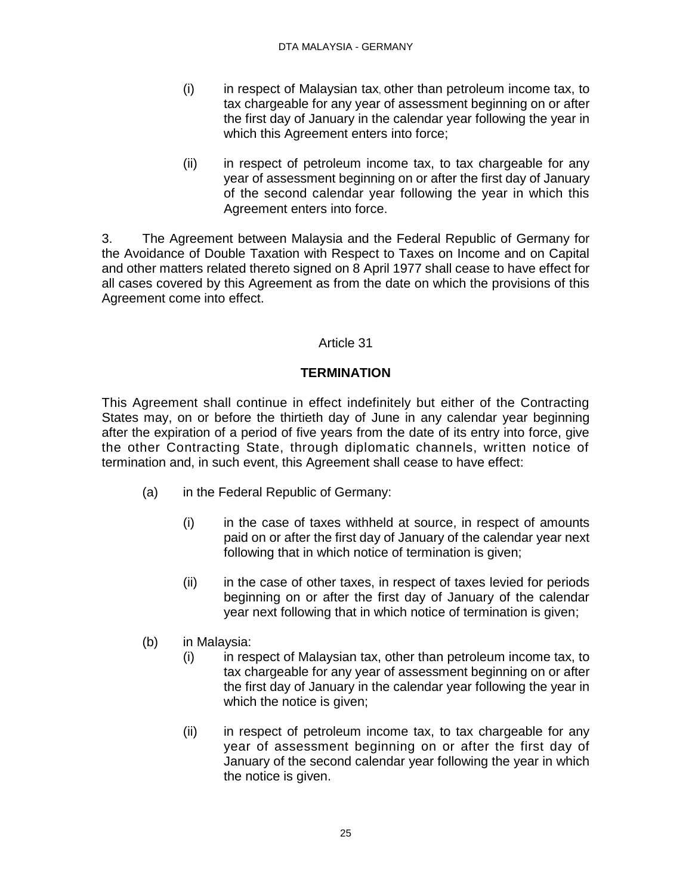- (i) in respect of Malaysian tax, other than petroleum income tax, to tax chargeable for any year of assessment beginning on or after the first day of January in the calendar year following the year in which this Agreement enters into force;
- (ii) in respect of petroleum income tax, to tax chargeable for any year of assessment beginning on or after the first day of January of the second calendar year following the year in which this Agreement enters into force.

3. The Agreement between Malaysia and the Federal Republic of Germany for the Avoidance of Double Taxation with Respect to Taxes on Income and on Capital and other matters related thereto signed on 8 April 1977 shall cease to have effect for all cases covered by this Agreement as from the date on which the provisions of this Agreement come into effect.

### Article 31

## **TERMINATION**

This Agreement shall continue in effect indefinitely but either of the Contracting States may, on or before the thirtieth day of June in any calendar year beginning after the expiration of a period of five years from the date of its entry into force, give the other Contracting State, through diplomatic channels, written notice of termination and, in such event, this Agreement shall cease to have effect:

- (a) in the Federal Republic of Germany:
	- (i) in the case of taxes withheld at source, in respect of amounts paid on or after the first day of January of the calendar year next following that in which notice of termination is given;
	- (ii) in the case of other taxes, in respect of taxes levied for periods beginning on or after the first day of January of the calendar year next following that in which notice of termination is given;
- (b) in Malaysia:
	- (i) in respect of Malaysian tax, other than petroleum income tax, to tax chargeable for any year of assessment beginning on or after the first day of January in the calendar year following the year in which the notice is given;
	- (ii) in respect of petroleum income tax, to tax chargeable for any year of assessment beginning on or after the first day of January of the second calendar year following the year in which the notice is given.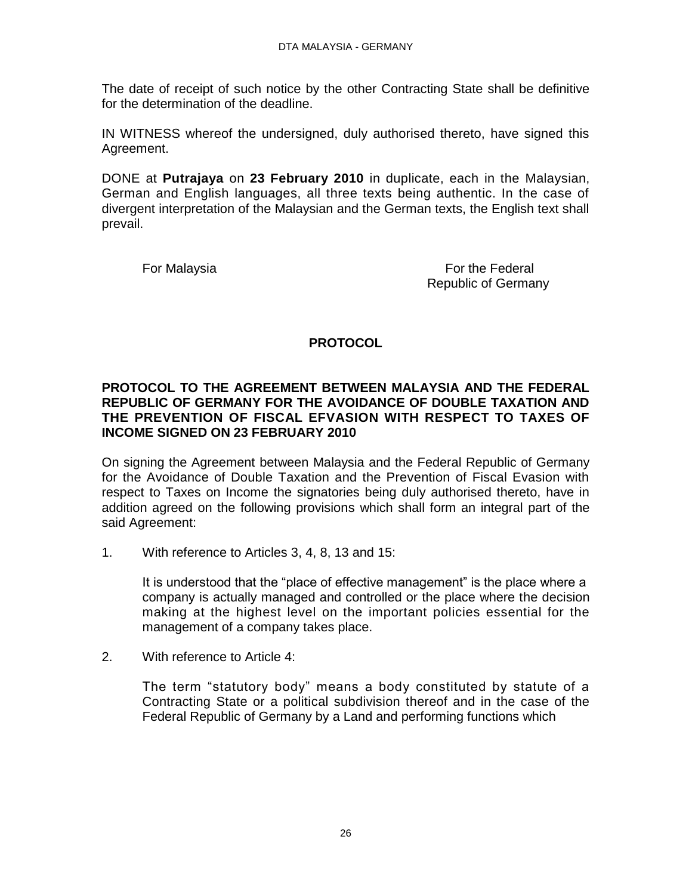The date of receipt of such notice by the other Contracting State shall be definitive for the determination of the deadline.

IN WITNESS whereof the undersigned, duly authorised thereto, have signed this Agreement.

DONE at **Putrajaya** on **23 February 2010** in duplicate, each in the Malaysian, German and English languages, all three texts being authentic. In the case of divergent interpretation of the Malaysian and the German texts, the English text shall prevail.

For Malaysia **For Malaysia** For the Federal Republic of Germany

## **PROTOCOL**

### **PROTOCOL TO THE AGREEMENT BETWEEN MALAYSIA AND THE FEDERAL REPUBLIC OF GERMANY FOR THE AVOIDANCE OF DOUBLE TAXATION AND THE PREVENTION OF FISCAL EFVASION WITH RESPECT TO TAXES OF INCOME SIGNED ON 23 FEBRUARY 2010**

On signing the Agreement between Malaysia and the Federal Republic of Germany for the Avoidance of Double Taxation and the Prevention of Fiscal Evasion with respect to Taxes on Income the signatories being duly authorised thereto, have in addition agreed on the following provisions which shall form an integral part of the said Agreement:

1. With reference to Articles 3, 4, 8, 13 and 15:

It is understood that the "place of effective management" is the place where a company is actually managed and controlled or the place where the decision making at the highest level on the important policies essential for the management of a company takes place.

2. With reference to Article 4:

The term "statutory body" means a body constituted by statute of a Contracting State or a political subdivision thereof and in the case of the Federal Republic of Germany by a Land and performing functions which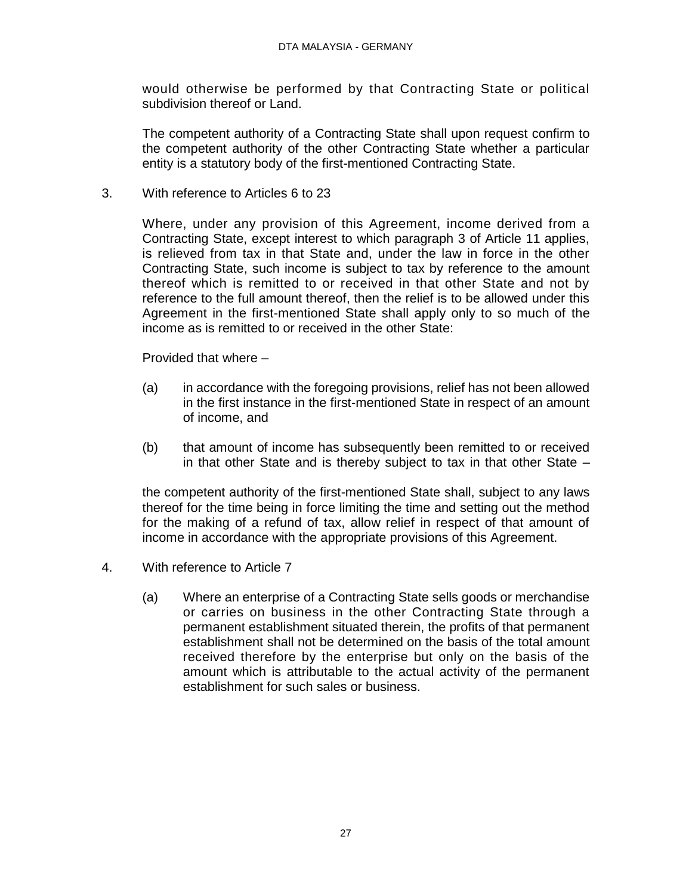would otherwise be performed by that Contracting State or political subdivision thereof or Land.

The competent authority of a Contracting State shall upon request confirm to the competent authority of the other Contracting State whether a particular entity is a statutory body of the first-mentioned Contracting State.

3. With reference to Articles 6 to 23

Where, under any provision of this Agreement, income derived from a Contracting State, except interest to which paragraph 3 of Article 11 applies, is relieved from tax in that State and, under the law in force in the other Contracting State, such income is subject to tax by reference to the amount thereof which is remitted to or received in that other State and not by reference to the full amount thereof, then the relief is to be allowed under this Agreement in the first-mentioned State shall apply only to so much of the income as is remitted to or received in the other State:

Provided that where –

- (a) in accordance with the foregoing provisions, relief has not been allowed in the first instance in the first-mentioned State in respect of an amount of income, and
- (b) that amount of income has subsequently been remitted to or received in that other State and is thereby subject to tax in that other State –

the competent authority of the first-mentioned State shall, subject to any laws thereof for the time being in force limiting the time and setting out the method for the making of a refund of tax, allow relief in respect of that amount of income in accordance with the appropriate provisions of this Agreement.

- 4. With reference to Article 7
	- (a) Where an enterprise of a Contracting State sells goods or merchandise or carries on business in the other Contracting State through a permanent establishment situated therein, the profits of that permanent establishment shall not be determined on the basis of the total amount received therefore by the enterprise but only on the basis of the amount which is attributable to the actual activity of the permanent establishment for such sales or business.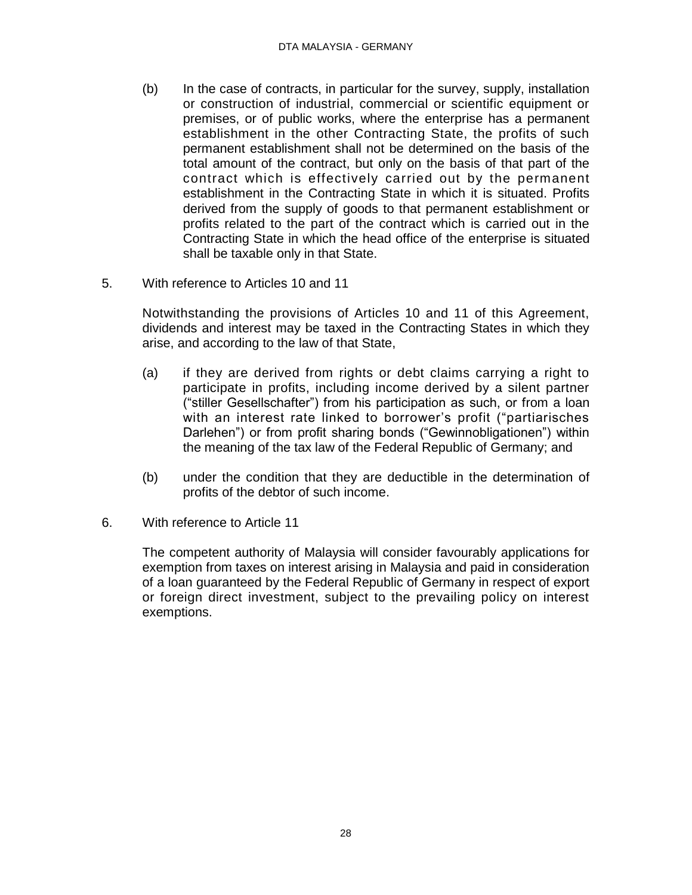#### DTA MALAYSIA - GERMANY

- (b) In the case of contracts, in particular for the survey, supply, installation or construction of industrial, commercial or scientific equipment or premises, or of public works, where the enterprise has a permanent establishment in the other Contracting State, the profits of such permanent establishment shall not be determined on the basis of the total amount of the contract, but only on the basis of that part of the contract which is effectively carried out by the permanent establishment in the Contracting State in which it is situated. Profits derived from the supply of goods to that permanent establishment or profits related to the part of the contract which is carried out in the Contracting State in which the head office of the enterprise is situated shall be taxable only in that State.
- 5. With reference to Articles 10 and 11

Notwithstanding the provisions of Articles 10 and 11 of this Agreement, dividends and interest may be taxed in the Contracting States in which they arise, and according to the law of that State,

- (a) if they are derived from rights or debt claims carrying a right to participate in profits, including income derived by a silent partner ("stiller Gesellschafter") from his participation as such, or from a loan with an interest rate linked to borrower's profit ("partiarisches Darlehen") or from profit sharing bonds ("Gewinnobligationen") within the meaning of the tax law of the Federal Republic of Germany; and
- (b) under the condition that they are deductible in the determination of profits of the debtor of such income.
- 6. With reference to Article 11

The competent authority of Malaysia will consider favourably applications for exemption from taxes on interest arising in Malaysia and paid in consideration of a loan guaranteed by the Federal Republic of Germany in respect of export or foreign direct investment, subject to the prevailing policy on interest exemptions.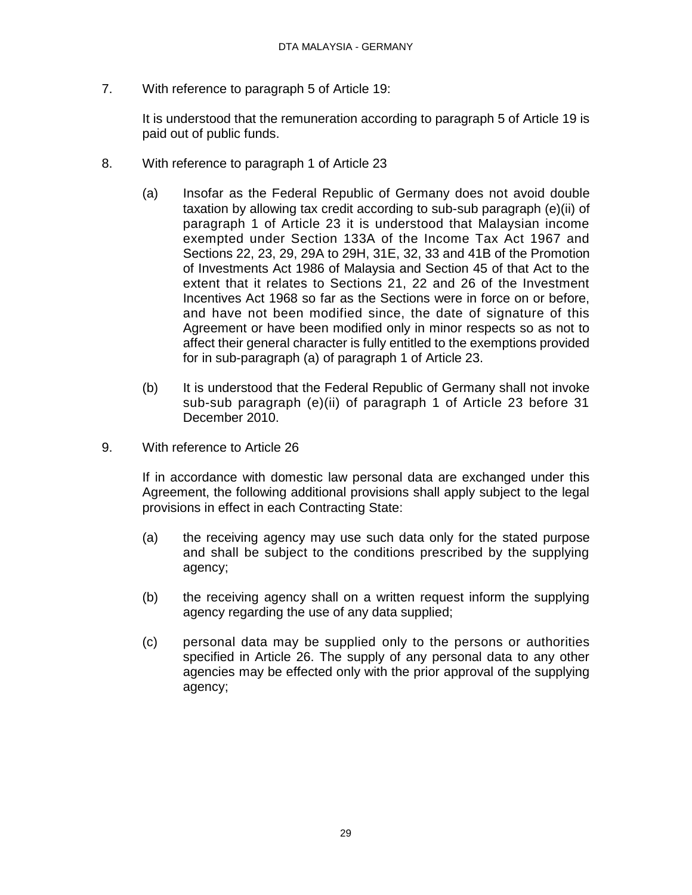7. With reference to paragraph 5 of Article 19:

It is understood that the remuneration according to paragraph 5 of Article 19 is paid out of public funds.

- 8. With reference to paragraph 1 of Article 23
	- (a) Insofar as the Federal Republic of Germany does not avoid double taxation by allowing tax credit according to sub-sub paragraph (e)(ii) of paragraph 1 of Article 23 it is understood that Malaysian income exempted under Section 133A of the Income Tax Act 1967 and Sections 22, 23, 29, 29A to 29H, 31E, 32, 33 and 41B of the Promotion of Investments Act 1986 of Malaysia and Section 45 of that Act to the extent that it relates to Sections 21, 22 and 26 of the Investment Incentives Act 1968 so far as the Sections were in force on or before, and have not been modified since, the date of signature of this Agreement or have been modified only in minor respects so as not to affect their general character is fully entitled to the exemptions provided for in sub-paragraph (a) of paragraph 1 of Article 23.
	- (b) It is understood that the Federal Republic of Germany shall not invoke sub-sub paragraph (e)(ii) of paragraph 1 of Article 23 before 31 December 2010.
- 9. With reference to Article 26

If in accordance with domestic law personal data are exchanged under this Agreement, the following additional provisions shall apply subject to the legal provisions in effect in each Contracting State:

- (a) the receiving agency may use such data only for the stated purpose and shall be subject to the conditions prescribed by the supplying agency;
- (b) the receiving agency shall on a written request inform the supplying agency regarding the use of any data supplied;
- (c) personal data may be supplied only to the persons or authorities specified in Article 26. The supply of any personal data to any other agencies may be effected only with the prior approval of the supplying agency;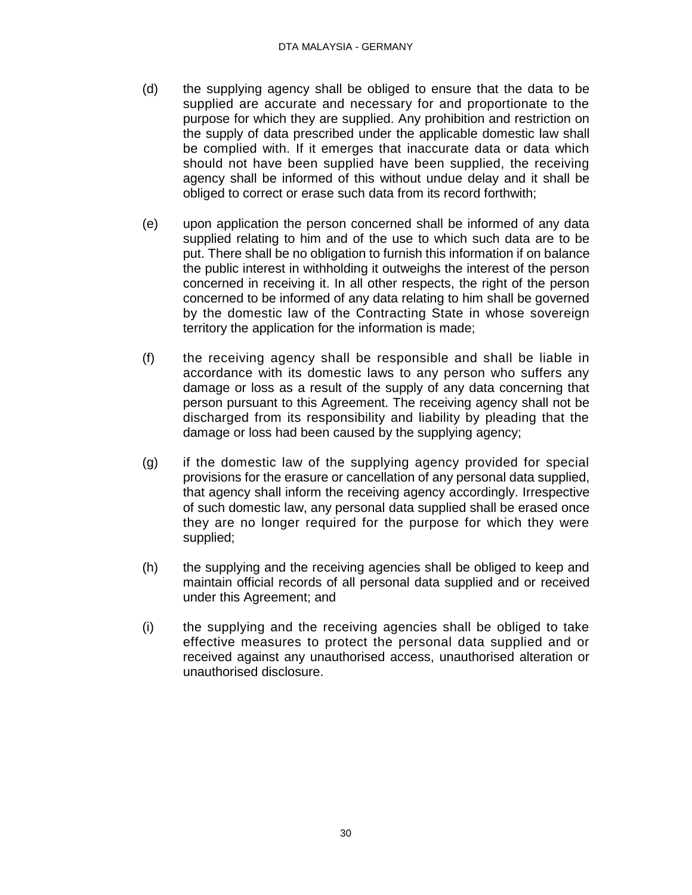- (d) the supplying agency shall be obliged to ensure that the data to be supplied are accurate and necessary for and proportionate to the purpose for which they are supplied. Any prohibition and restriction on the supply of data prescribed under the applicable domestic law shall be complied with. If it emerges that inaccurate data or data which should not have been supplied have been supplied, the receiving agency shall be informed of this without undue delay and it shall be obliged to correct or erase such data from its record forthwith;
- (e) upon application the person concerned shall be informed of any data supplied relating to him and of the use to which such data are to be put. There shall be no obligation to furnish this information if on balance the public interest in withholding it outweighs the interest of the person concerned in receiving it. In all other respects, the right of the person concerned to be informed of any data relating to him shall be governed by the domestic law of the Contracting State in whose sovereign territory the application for the information is made;
- (f) the receiving agency shall be responsible and shall be liable in accordance with its domestic laws to any person who suffers any damage or loss as a result of the supply of any data concerning that person pursuant to this Agreement. The receiving agency shall not be discharged from its responsibility and liability by pleading that the damage or loss had been caused by the supplying agency;
- (g) if the domestic law of the supplying agency provided for special provisions for the erasure or cancellation of any personal data supplied, that agency shall inform the receiving agency accordingly. Irrespective of such domestic law, any personal data supplied shall be erased once they are no longer required for the purpose for which they were supplied;
- (h) the supplying and the receiving agencies shall be obliged to keep and maintain official records of all personal data supplied and or received under this Agreement; and
- (i) the supplying and the receiving agencies shall be obliged to take effective measures to protect the personal data supplied and or received against any unauthorised access, unauthorised alteration or unauthorised disclosure.